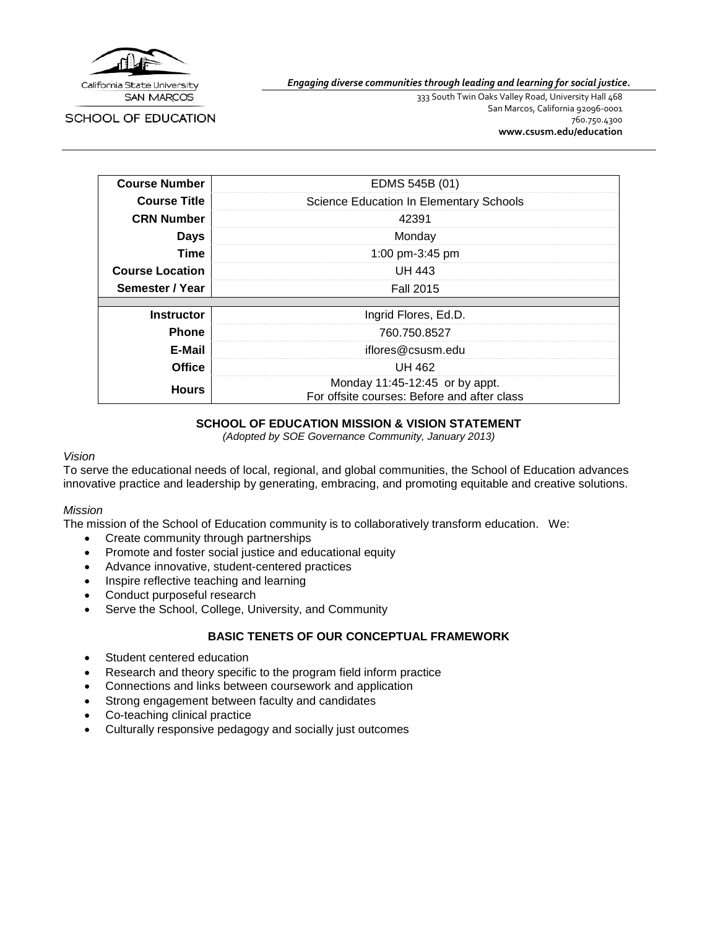

SCHOOL OF EDUCATION

*Engaging diverse communities through leading and learning for social justice.*

333 South Twin Oaks Valley Road, University Hall 468 San Marcos, California 92096-0001 760.750.4300 **[www.csusm.edu/education](http://www.csusm.edu/education)**

| <b>Course Number</b>   | EDMS 545B (01)                                                                |
|------------------------|-------------------------------------------------------------------------------|
| <b>Course Title</b>    | Science Education In Elementary Schools                                       |
| <b>CRN Number</b>      | 42391                                                                         |
| <b>Days</b>            | Monday                                                                        |
| <b>Time</b>            | 1:00 pm-3:45 pm                                                               |
| <b>Course Location</b> | UH 443                                                                        |
| Semester / Year        | <b>Fall 2015</b>                                                              |
|                        |                                                                               |
| <b>Instructor</b>      | Ingrid Flores, Ed.D.                                                          |
| <b>Phone</b>           | 760.750.8527                                                                  |
| E-Mail                 | iflores@csusm.edu                                                             |
| <b>Office</b>          | UH 462                                                                        |
| <b>Hours</b>           | Monday 11:45-12:45 or by appt.<br>For offsite courses: Before and after class |

#### **SCHOOL OF EDUCATION MISSION & VISION STATEMENT**

*(Adopted by SOE Governance Community, January 2013)*

#### *Vision*

To serve the educational needs of local, regional, and global communities, the School of Education advances innovative practice and leadership by generating, embracing, and promoting equitable and creative solutions.

#### *Mission*

The mission of the School of Education community is to collaboratively transform education. We:

- Create community through partnerships
- Promote and foster social justice and educational equity
- Advance innovative, student-centered practices
- Inspire reflective teaching and learning
- Conduct purposeful research
- Serve the School, College, University, and Community

#### **BASIC TENETS OF OUR CONCEPTUAL FRAMEWORK**

- Student centered education
- Research and theory specific to the program field inform practice
- Connections and links between coursework and application
- Strong engagement between faculty and candidates
- Co-teaching clinical practice
- Culturally responsive pedagogy and socially just outcomes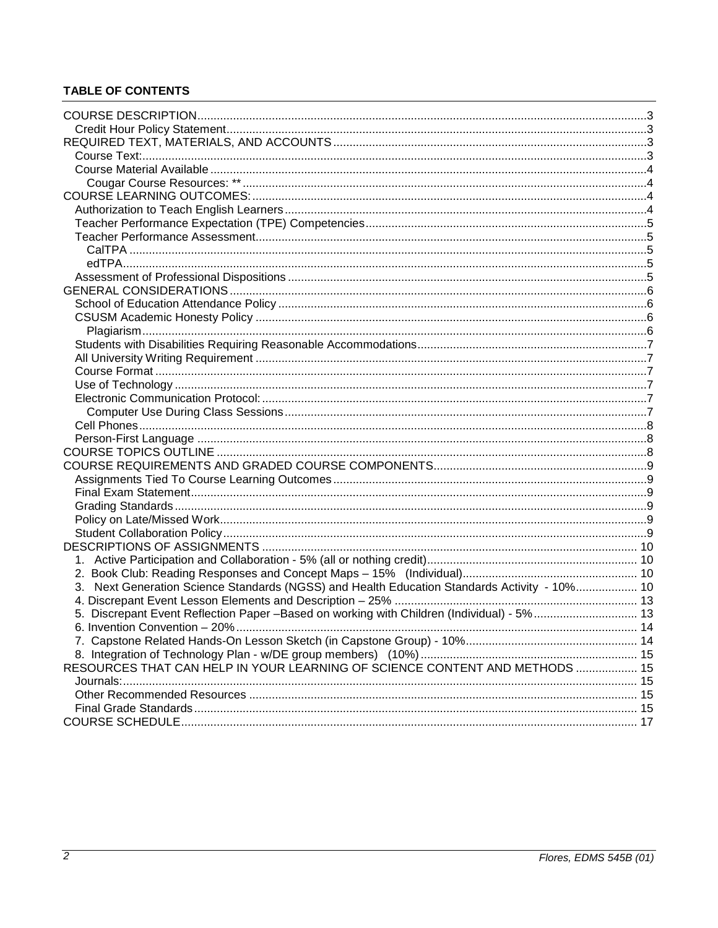# **TABLE OF CONTENTS**

| 3. Next Generation Science Standards (NGSS) and Health Education Standards Activity - 10% 10 |      |
|----------------------------------------------------------------------------------------------|------|
|                                                                                              |      |
| 5. Discrepant Event Reflection Paper -Based on working with Children (Individual) - 5%  13   |      |
|                                                                                              | . 14 |
|                                                                                              |      |
|                                                                                              |      |
| RESOURCES THAT CAN HELP IN YOUR LEARNING OF SCIENCE CONTENT AND METHODS  15                  |      |
|                                                                                              |      |
|                                                                                              |      |
|                                                                                              |      |
|                                                                                              |      |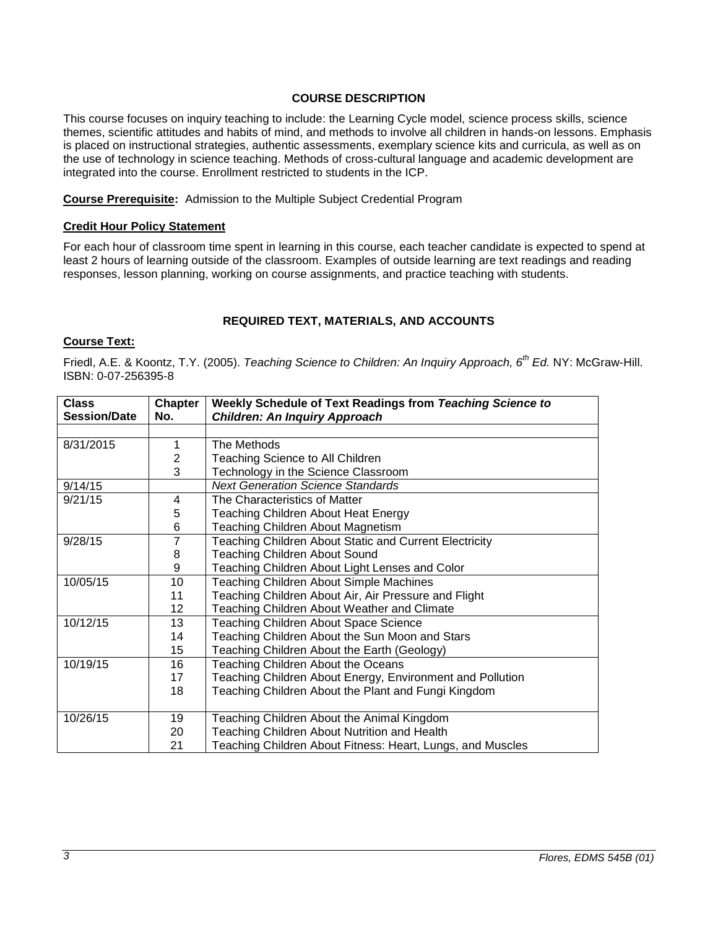### **COURSE DESCRIPTION**

<span id="page-2-0"></span>This course focuses on inquiry teaching to include: the Learning Cycle model, science process skills, science themes, scientific attitudes and habits of mind, and methods to involve all children in hands-on lessons. Emphasis is placed on instructional strategies, authentic assessments, exemplary science kits and curricula, as well as on the use of technology in science teaching. Methods of cross-cultural language and academic development are integrated into the course. Enrollment restricted to students in the ICP.

**Course Prerequisite:** Admission to the Multiple Subject Credential Program

#### <span id="page-2-1"></span>**Credit Hour Policy Statement**

For each hour of classroom time spent in learning in this course, each teacher candidate is expected to spend at least 2 hours of learning outside of the classroom. Examples of outside learning are text readings and reading responses, lesson planning, working on course assignments, and practice teaching with students.

#### **REQUIRED TEXT, MATERIALS, AND ACCOUNTS**

# <span id="page-2-3"></span><span id="page-2-2"></span>**Course Text:**

Friedl, A.E. & Koontz, T.Y. (2005). *Teaching Science to Children: An Inquiry Approach, 6th Ed.* NY: McGraw-Hill. ISBN: 0-07-256395-8

| <b>Class</b>                                              | <b>Chapter</b> | Weekly Schedule of Text Readings from Teaching Science to  |  |
|-----------------------------------------------------------|----------------|------------------------------------------------------------|--|
| <b>Session/Date</b>                                       | No.            | <b>Children: An Inquiry Approach</b>                       |  |
|                                                           |                |                                                            |  |
| 8/31/2015                                                 | 1              | The Methods                                                |  |
|                                                           | 2              | Teaching Science to All Children                           |  |
|                                                           | 3              | Technology in the Science Classroom                        |  |
| 9/14/15                                                   |                | <b>Next Generation Science Standards</b>                   |  |
| 9/21/15                                                   | 4              | The Characteristics of Matter                              |  |
|                                                           | 5              | <b>Teaching Children About Heat Energy</b>                 |  |
|                                                           | 6              | <b>Teaching Children About Magnetism</b>                   |  |
| 9/28/15                                                   | $\overline{7}$ | Teaching Children About Static and Current Electricity     |  |
|                                                           | 8              | <b>Teaching Children About Sound</b>                       |  |
|                                                           | 9              | Teaching Children About Light Lenses and Color             |  |
| 10/05/15<br>10<br>Teaching Children About Simple Machines |                |                                                            |  |
|                                                           | 11             | Teaching Children About Air, Air Pressure and Flight       |  |
|                                                           | 12             | Teaching Children About Weather and Climate                |  |
| 10/12/15                                                  | 13             | <b>Teaching Children About Space Science</b>               |  |
|                                                           | 14             | Teaching Children About the Sun Moon and Stars             |  |
|                                                           | 15             | Teaching Children About the Earth (Geology)                |  |
| 10/19/15                                                  | 16             | Teaching Children About the Oceans                         |  |
|                                                           | 17             | Teaching Children About Energy, Environment and Pollution  |  |
|                                                           | 18             | Teaching Children About the Plant and Fungi Kingdom        |  |
|                                                           |                |                                                            |  |
| 10/26/15                                                  | 19             | Teaching Children About the Animal Kingdom                 |  |
|                                                           | 20             | Teaching Children About Nutrition and Health               |  |
|                                                           | 21             | Teaching Children About Fitness: Heart, Lungs, and Muscles |  |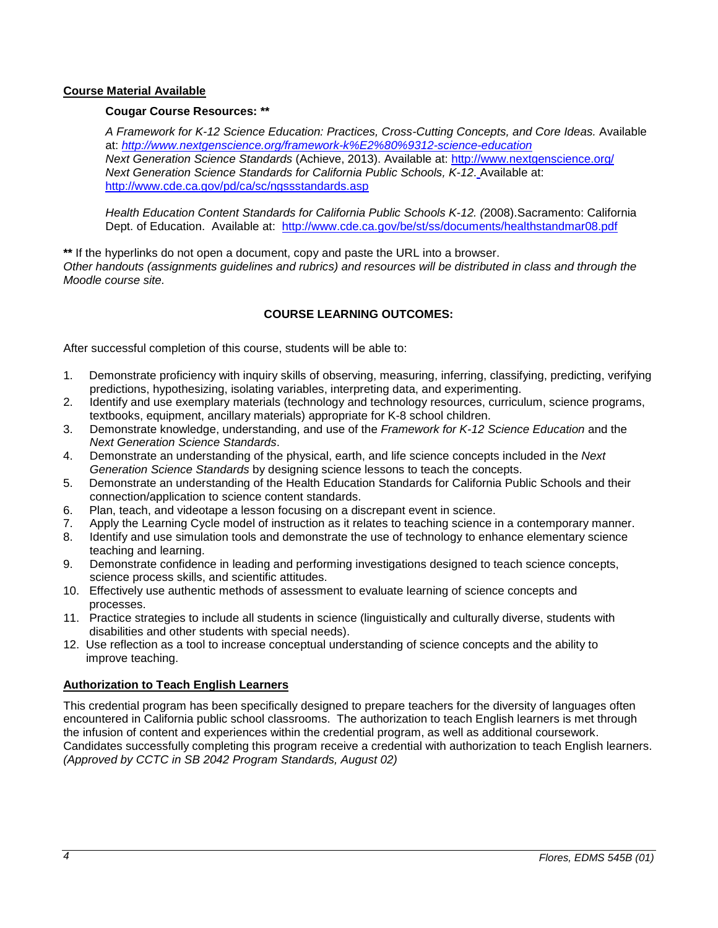### <span id="page-3-1"></span><span id="page-3-0"></span>**Course Material Available**

#### **Cougar Course Resources: \*\***

*A Framework for K-12 Science Education: Practices, Cross-Cutting Concepts, and Core Ideas.* Available at: *<http://www.nextgenscience.org/framework-k%E2%80%9312-science-education> Next Generation Science Standards* (Achieve, 2013). Available at:<http://www.nextgenscience.org/> *Next Generation Science Standards for California Public Schools, K-12*. Available at: <http://www.cde.ca.gov/pd/ca/sc/ngssstandards.asp>

*Health Education Content Standards for California Public Schools K-12. (*2008).Sacramento: California Dept. of Education. Available at: <http://www.cde.ca.gov/be/st/ss/documents/healthstandmar08.pdf>

**\*\*** If the hyperlinks do not open a document, copy and paste the URL into a browser. *Other handouts (assignments guidelines and rubrics) and resources will be distributed in class and through the Moodle course site.*

#### **COURSE LEARNING OUTCOMES:**

<span id="page-3-2"></span>After successful completion of this course, students will be able to:

- 1. Demonstrate proficiency with inquiry skills of observing, measuring, inferring, classifying, predicting, verifying predictions, hypothesizing, isolating variables, interpreting data, and experimenting.
- 2. Identify and use exemplary materials (technology and technology resources, curriculum, science programs, textbooks, equipment, ancillary materials) appropriate for K-8 school children.
- 3. Demonstrate knowledge, understanding, and use of the *Framework for K-12 Science Education* and the *Next Generation Science Standards*.
- 4. Demonstrate an understanding of the physical, earth, and life science concepts included in the *Next Generation Science Standards* by designing science lessons to teach the concepts.
- 5. Demonstrate an understanding of the Health Education Standards for California Public Schools and their connection/application to science content standards.
- 6. Plan, teach, and videotape a lesson focusing on a discrepant event in science.
- 7. Apply the Learning Cycle model of instruction as it relates to teaching science in a contemporary manner.
- 8. Identify and use simulation tools and demonstrate the use of technology to enhance elementary science teaching and learning.
- 9. Demonstrate confidence in leading and performing investigations designed to teach science concepts, science process skills, and scientific attitudes.
- 10. Effectively use authentic methods of assessment to evaluate learning of science concepts and processes.
- 11. Practice strategies to include all students in science (linguistically and culturally diverse, students with disabilities and other students with special needs).
- 12. Use reflection as a tool to increase conceptual understanding of science concepts and the ability to improve teaching.

# <span id="page-3-3"></span>**Authorization to Teach English Learners**

This credential program has been specifically designed to prepare teachers for the diversity of languages often encountered in California public school classrooms. The authorization to teach English learners is met through the infusion of content and experiences within the credential program, as well as additional coursework. Candidates successfully completing this program receive a credential with authorization to teach English learners. *(Approved by CCTC in SB 2042 Program Standards, August 02)*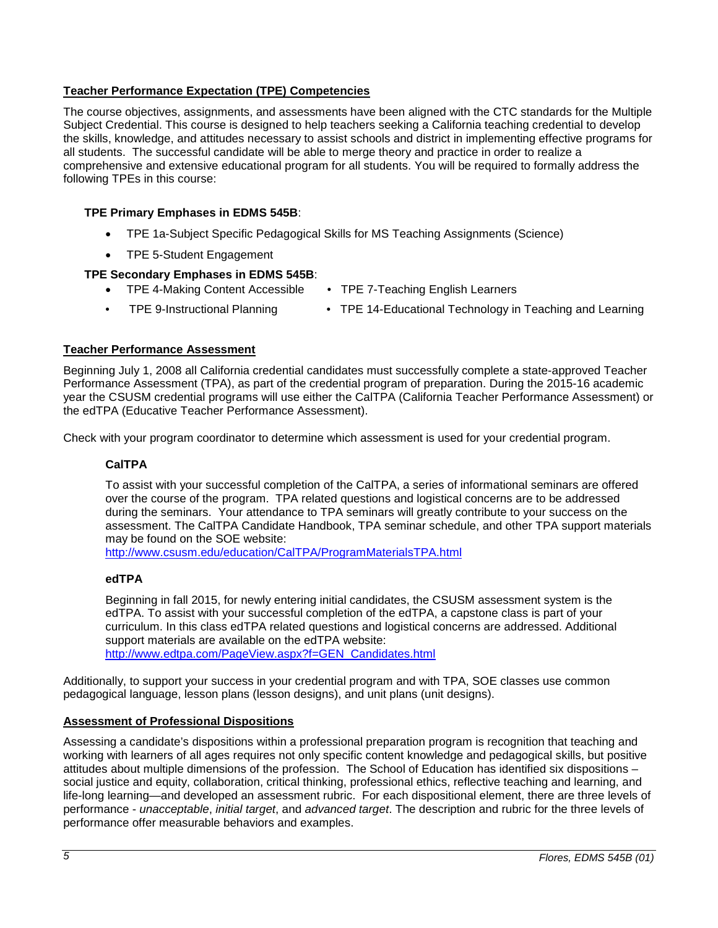# <span id="page-4-0"></span>**Teacher Performance Expectation (TPE) Competencies**

The course objectives, assignments, and assessments have been aligned with the CTC standards for the Multiple Subject Credential. This course is designed to help teachers seeking a California teaching credential to develop the skills, knowledge, and attitudes necessary to assist schools and district in implementing effective programs for all students. The successful candidate will be able to merge theory and practice in order to realize a comprehensive and extensive educational program for all students. You will be required to formally address the following TPEs in this course:

### **TPE Primary Emphases in EDMS 545B**:

- TPE 1a-Subject Specific Pedagogical Skills for MS Teaching Assignments (Science)
- TPE 5-Student Engagement

# **TPE Secondary Emphases in EDMS 545B**:

- TPE 4-Making Content Accessible TPE 7-Teaching English Learners
	-
- 
- TPE 9-Instructional Planning TPE 14-Educational Technology in Teaching and Learning

#### <span id="page-4-1"></span>**Teacher Performance Assessment**

Beginning July 1, 2008 all California credential candidates must successfully complete a state-approved Teacher Performance Assessment (TPA), as part of the credential program of preparation. During the 2015-16 academic year the CSUSM credential programs will use either the CalTPA (California Teacher Performance Assessment) or the edTPA (Educative Teacher Performance Assessment).

<span id="page-4-2"></span>Check with your program coordinator to determine which assessment is used for your credential program.

#### **CalTPA**

To assist with your successful completion of the CalTPA, a series of informational seminars are offered over the course of the program. TPA related questions and logistical concerns are to be addressed during the seminars. Your attendance to TPA seminars will greatly contribute to your success on the assessment. The CalTPA Candidate Handbook, TPA seminar schedule, and other TPA support materials may be found on the SOE website:

<http://www.csusm.edu/education/CalTPA/ProgramMaterialsTPA.html>

### <span id="page-4-3"></span>**edTPA**

Beginning in fall 2015, for newly entering initial candidates, the CSUSM assessment system is the edTPA. To assist with your successful completion of the edTPA, a capstone class is part of your curriculum. In this class edTPA related questions and logistical concerns are addressed. Additional support materials are available on the edTPA website: [http://www.edtpa.com/PageView.aspx?f=GEN\\_Candidates.html](http://www.edtpa.com/PageView.aspx?f=GEN_Candidates.html)

Additionally, to support your success in your credential program and with TPA, SOE classes use common

pedagogical language, lesson plans (lesson designs), and unit plans (unit designs).

# <span id="page-4-4"></span>**Assessment of Professional Dispositions**

Assessing a candidate's dispositions within a professional preparation program is recognition that teaching and working with learners of all ages requires not only specific content knowledge and pedagogical skills, but positive attitudes about multiple dimensions of the profession. The School of Education has identified six dispositions – social justice and equity, collaboration, critical thinking, professional ethics, reflective teaching and learning, and life-long learning—and developed an assessment rubric. For each dispositional element, there are three levels of performance - *unacceptable*, *initial target*, and *advanced target*. The description and rubric for the three levels of performance offer measurable behaviors and examples.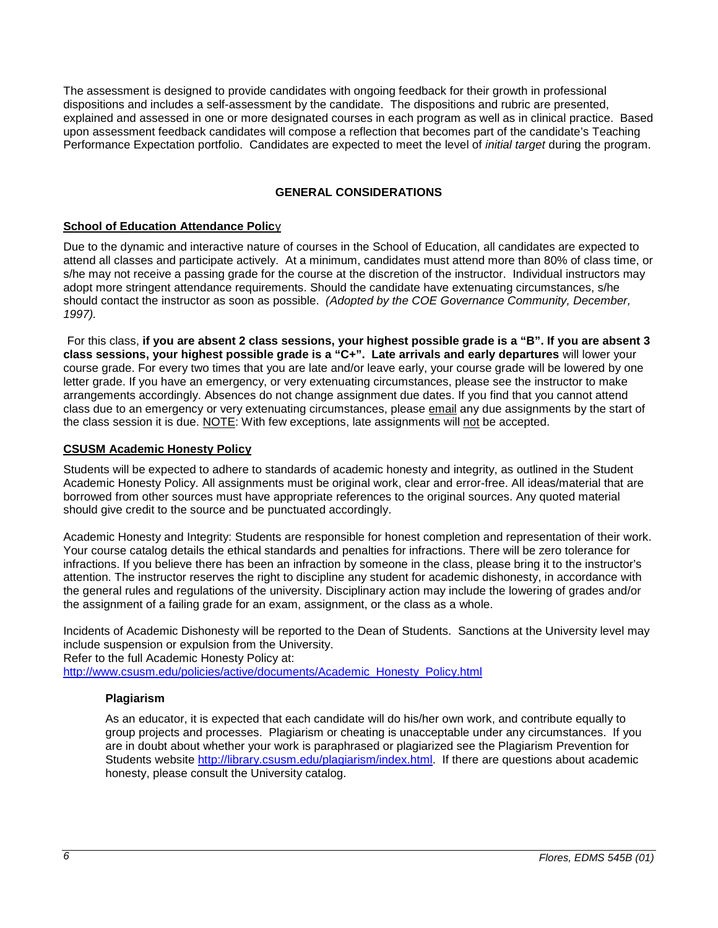The assessment is designed to provide candidates with ongoing feedback for their growth in professional dispositions and includes a self-assessment by the candidate. The dispositions and rubric are presented, explained and assessed in one or more designated courses in each program as well as in clinical practice. Based upon assessment feedback candidates will compose a reflection that becomes part of the candidate's Teaching Performance Expectation portfolio. Candidates are expected to meet the level of *initial target* during the program.

# **GENERAL CONSIDERATIONS**

# <span id="page-5-1"></span><span id="page-5-0"></span>**School of Education Attendance Policy**

Due to the dynamic and interactive nature of courses in the School of Education, all candidates are expected to attend all classes and participate actively. At a minimum, candidates must attend more than 80% of class time, or s/he may not receive a passing grade for the course at the discretion of the instructor. Individual instructors may adopt more stringent attendance requirements. Should the candidate have extenuating circumstances, s/he should contact the instructor as soon as possible. *(Adopted by the COE Governance Community, December, 1997).*

For this class, **if you are absent 2 class sessions, your highest possible grade is a "B". If you are absent 3 class sessions, your highest possible grade is a "C+". Late arrivals and early departures** will lower your course grade. For every two times that you are late and/or leave early, your course grade will be lowered by one letter grade. If you have an emergency, or very extenuating circumstances, please see the instructor to make arrangements accordingly. Absences do not change assignment due dates. If you find that you cannot attend class due to an emergency or very extenuating circumstances, please email any due assignments by the start of the class session it is due. NOTE: With few exceptions, late assignments will not be accepted.

# <span id="page-5-2"></span>**CSUSM Academic Honesty Policy**

Students will be expected to adhere to standards of academic honesty and integrity, as outlined in the Student Academic Honesty Policy. All assignments must be original work, clear and error-free. All ideas/material that are borrowed from other sources must have appropriate references to the original sources. Any quoted material should give credit to the source and be punctuated accordingly.

Academic Honesty and Integrity: Students are responsible for honest completion and representation of their work. Your course catalog details the ethical standards and penalties for infractions. There will be zero tolerance for infractions. If you believe there has been an infraction by someone in the class, please bring it to the instructor's attention. The instructor reserves the right to discipline any student for academic dishonesty, in accordance with the general rules and regulations of the university. Disciplinary action may include the lowering of grades and/or the assignment of a failing grade for an exam, assignment, or the class as a whole.

Incidents of Academic Dishonesty will be reported to the Dean of Students. Sanctions at the University level may include suspension or expulsion from the University.

Refer to the full Academic Honesty Policy at:

<span id="page-5-3"></span>[http://www.csusm.edu/policies/active/documents/Academic\\_Honesty\\_Policy.html](http://www.csusm.edu/policies/active/documents/Academic_Honesty_Policy.html)

# **Plagiarism**

As an educator, it is expected that each candidate will do his/her own work, and contribute equally to group projects and processes. Plagiarism or cheating is unacceptable under any circumstances. If you are in doubt about whether your work is paraphrased or plagiarized see the Plagiarism Prevention for Students website [http://library.csusm.edu/plagiarism/index.html.](http://library.csusm.edu/plagiarism/index.html) If there are questions about academic honesty, please consult the University catalog.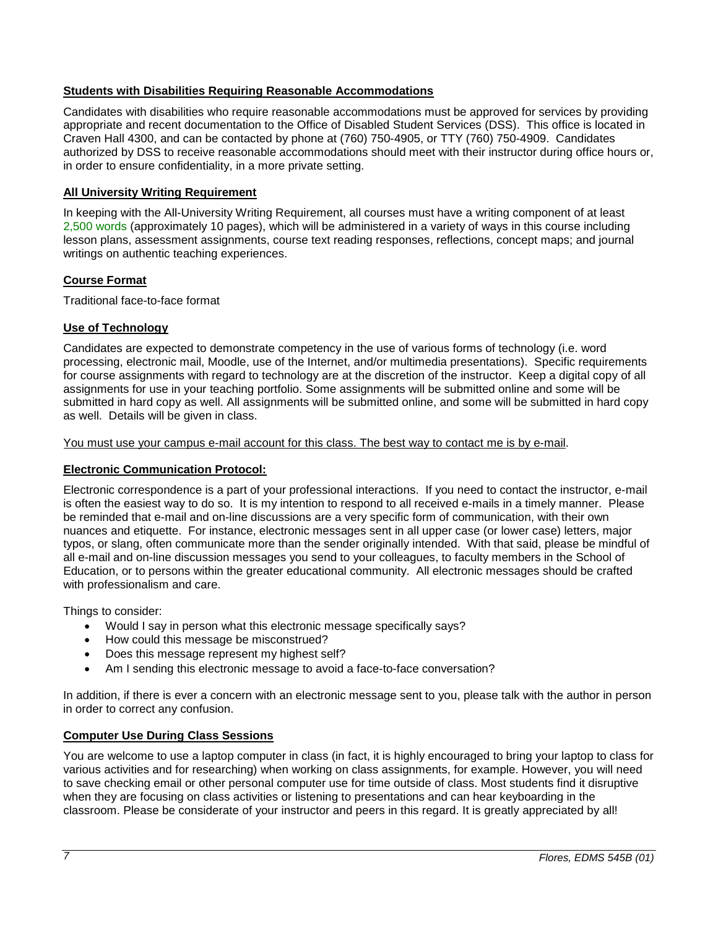# <span id="page-6-0"></span>**Students with Disabilities Requiring Reasonable Accommodations**

Candidates with disabilities who require reasonable accommodations must be approved for services by providing appropriate and recent documentation to the Office of Disabled Student Services (DSS). This office is located in Craven Hall 4300, and can be contacted by phone at (760) 750-4905, or TTY (760) 750-4909. Candidates authorized by DSS to receive reasonable accommodations should meet with their instructor during office hours or, in order to ensure confidentiality, in a more private setting.

# <span id="page-6-1"></span>**All University Writing Requirement**

In keeping with the All-University Writing Requirement, all courses must have a writing component of at least 2,500 words (approximately 10 pages), which will be administered in a variety of ways in this course including lesson plans, assessment assignments, course text reading responses, reflections, concept maps; and journal writings on authentic teaching experiences.

# <span id="page-6-2"></span>**Course Format**

Traditional face-to-face format

# <span id="page-6-3"></span>**Use of Technology**

Candidates are expected to demonstrate competency in the use of various forms of technology (i.e. word processing, electronic mail, Moodle, use of the Internet, and/or multimedia presentations). Specific requirements for course assignments with regard to technology are at the discretion of the instructor. Keep a digital copy of all assignments for use in your teaching portfolio. Some assignments will be submitted online and some will be submitted in hard copy as well. All assignments will be submitted online, and some will be submitted in hard copy as well. Details will be given in class.

#### You must use your campus e-mail account for this class. The best way to contact me is by e-mail.

# <span id="page-6-4"></span>**Electronic Communication Protocol:**

Electronic correspondence is a part of your professional interactions. If you need to contact the instructor, e-mail is often the easiest way to do so. It is my intention to respond to all received e-mails in a timely manner. Please be reminded that e-mail and on-line discussions are a very specific form of communication, with their own nuances and etiquette. For instance, electronic messages sent in all upper case (or lower case) letters, major typos, or slang, often communicate more than the sender originally intended. With that said, please be mindful of all e-mail and on-line discussion messages you send to your colleagues, to faculty members in the School of Education, or to persons within the greater educational community. All electronic messages should be crafted with professionalism and care.

Things to consider:

- Would I say in person what this electronic message specifically says?
- How could this message be misconstrued?
- Does this message represent my highest self?
- Am I sending this electronic message to avoid a face-to-face conversation?

In addition, if there is ever a concern with an electronic message sent to you, please talk with the author in person in order to correct any confusion.

# <span id="page-6-5"></span>**Computer Use During Class Sessions**

You are welcome to use a laptop computer in class (in fact, it is highly encouraged to bring your laptop to class for various activities and for researching) when working on class assignments, for example. However, you will need to save checking email or other personal computer use for time outside of class. Most students find it disruptive when they are focusing on class activities or listening to presentations and can hear keyboarding in the classroom. Please be considerate of your instructor and peers in this regard. It is greatly appreciated by all!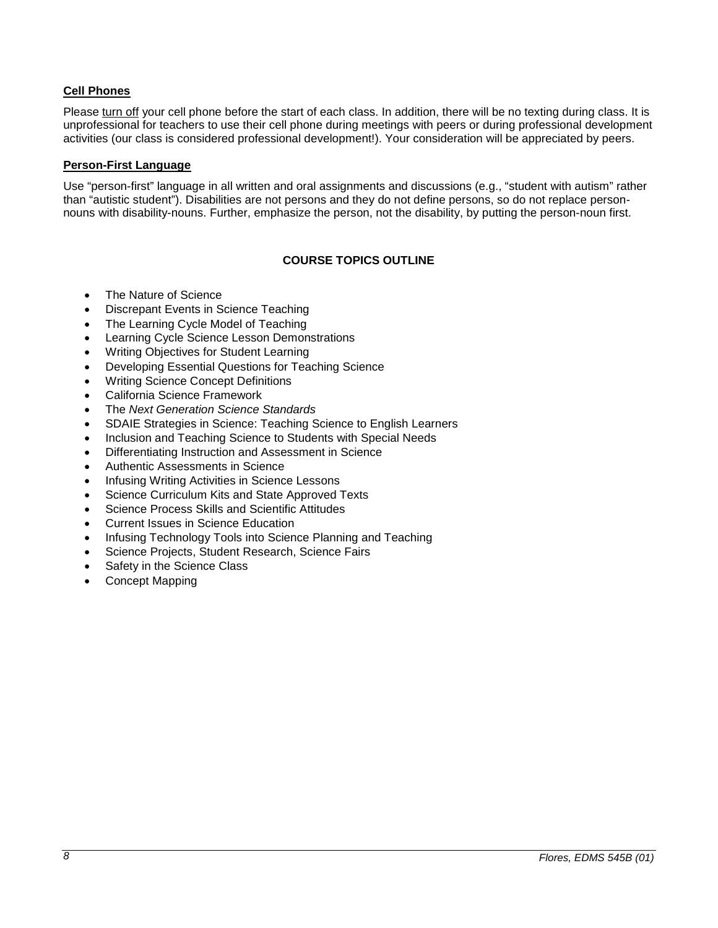# <span id="page-7-0"></span>**Cell Phones**

Please turn off your cell phone before the start of each class. In addition, there will be no texting during class. It is unprofessional for teachers to use their cell phone during meetings with peers or during professional development activities (our class is considered professional development!). Your consideration will be appreciated by peers.

### <span id="page-7-1"></span>**Person-First Language**

Use "person-first" language in all written and oral assignments and discussions (e.g., "student with autism" rather than "autistic student"). Disabilities are not persons and they do not define persons, so do not replace personnouns with disability-nouns. Further, emphasize the person, not the disability, by putting the person-noun first.

# **COURSE TOPICS OUTLINE**

- <span id="page-7-2"></span>• The Nature of Science
- Discrepant Events in Science Teaching
- The Learning Cycle Model of Teaching
- Learning Cycle Science Lesson Demonstrations
- Writing Objectives for Student Learning
- Developing Essential Questions for Teaching Science
- Writing Science Concept Definitions
- California Science Framework
- The *Next Generation Science Standards*
- SDAIE Strategies in Science: Teaching Science to English Learners
- Inclusion and Teaching Science to Students with Special Needs
- Differentiating Instruction and Assessment in Science
- Authentic Assessments in Science
- Infusing Writing Activities in Science Lessons
- Science Curriculum Kits and State Approved Texts
- Science Process Skills and Scientific Attitudes
- Current Issues in Science Education
- Infusing Technology Tools into Science Planning and Teaching
- Science Projects, Student Research, Science Fairs
- Safety in the Science Class
- Concept Mapping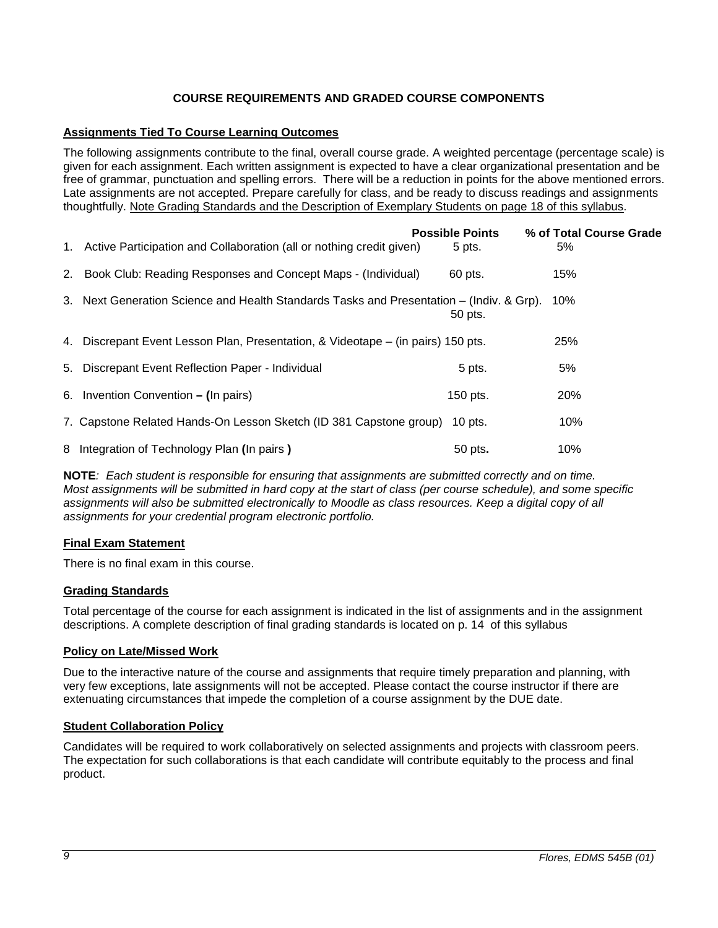# **COURSE REQUIREMENTS AND GRADED COURSE COMPONENTS**

# <span id="page-8-1"></span><span id="page-8-0"></span>**Assignments Tied To Course Learning Outcomes**

The following assignments contribute to the final, overall course grade. A weighted percentage (percentage scale) is given for each assignment. Each written assignment is expected to have a clear organizational presentation and be free of grammar, punctuation and spelling errors. There will be a reduction in points for the above mentioned errors. Late assignments are not accepted. Prepare carefully for class, and be ready to discuss readings and assignments thoughtfully. Note Grading Standards and the Description of Exemplary Students on page 18 of this syllabus.

| 1. Active Participation and Collaboration (all or nothing credit given)                  | <b>Possible Points</b><br>5 pts. | % of Total Course Grade<br>5% |
|------------------------------------------------------------------------------------------|----------------------------------|-------------------------------|
| 2. Book Club: Reading Responses and Concept Maps - (Individual)                          | 60 pts.                          | 15%                           |
| 3. Next Generation Science and Health Standards Tasks and Presentation – (Indiv. & Grp). | 50 pts.                          | 10%                           |
| 4. Discrepant Event Lesson Plan, Presentation, & Videotape – (in pairs) 150 pts.         |                                  | 25%                           |
| 5. Discrepant Event Reflection Paper - Individual                                        | 5 pts.                           | 5%                            |
| 6. Invention Convention - (In pairs)                                                     | 150 pts.                         | 20%                           |
| 7. Capstone Related Hands-On Lesson Sketch (ID 381 Capstone group)                       | $10$ pts.                        | 10%                           |
| 8 Integration of Technology Plan (In pairs)                                              | 50 pts.                          | 10%                           |

**NOTE***: Each student is responsible for ensuring that assignments are submitted correctly and on time. Most assignments will be submitted in hard copy at the start of class (per course schedule), and some specific*  assignments will also be submitted electronically to Moodle as class resources. Keep a digital copy of all *assignments for your credential program electronic portfolio.*

# <span id="page-8-2"></span>**Final Exam Statement**

There is no final exam in this course.

# <span id="page-8-3"></span>**Grading Standards**

Total percentage of the course for each assignment is indicated in the list of assignments and in the assignment descriptions. A complete description of final grading standards is located on p. 14 of this syllabus

# <span id="page-8-4"></span>**Policy on Late/Missed Work**

Due to the interactive nature of the course and assignments that require timely preparation and planning, with very few exceptions, late assignments will not be accepted. Please contact the course instructor if there are extenuating circumstances that impede the completion of a course assignment by the DUE date.

#### <span id="page-8-5"></span>**Student Collaboration Policy**

Candidates will be required to work collaboratively on selected assignments and projects with classroom peers. The expectation for such collaborations is that each candidate will contribute equitably to the process and final product.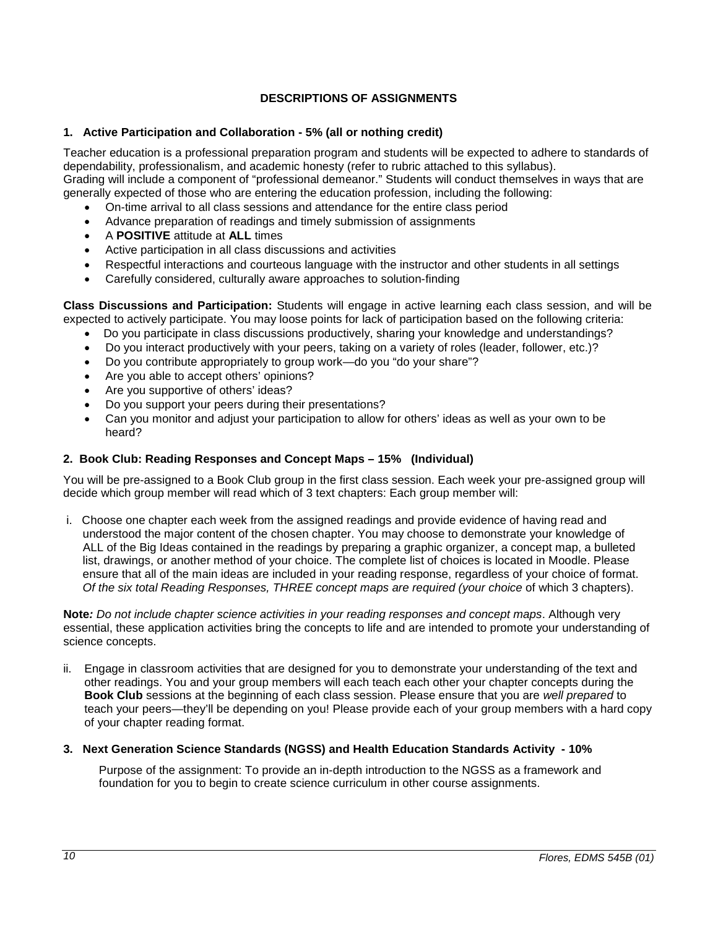# **DESCRIPTIONS OF ASSIGNMENTS**

# <span id="page-9-1"></span><span id="page-9-0"></span>**1. Active Participation and Collaboration - 5% (all or nothing credit)**

Teacher education is a professional preparation program and students will be expected to adhere to standards of dependability, professionalism, and academic honesty (refer to rubric attached to this syllabus).

Grading will include a component of "professional demeanor." Students will conduct themselves in ways that are generally expected of those who are entering the education profession, including the following:

- On-time arrival to all class sessions and attendance for the entire class period
- Advance preparation of readings and timely submission of assignments
- A **POSITIVE** attitude at **ALL** times
- Active participation in all class discussions and activities
- Respectful interactions and courteous language with the instructor and other students in all settings
- Carefully considered, culturally aware approaches to solution-finding

**Class Discussions and Participation:** Students will engage in active learning each class session, and will be expected to actively participate. You may loose points for lack of participation based on the following criteria:

- Do you participate in class discussions productively, sharing your knowledge and understandings?
- Do you interact productively with your peers, taking on a variety of roles (leader, follower, etc.)?
- Do you contribute appropriately to group work—do you "do your share"?
- Are you able to accept others' opinions?
- Are you supportive of others' ideas?
- Do you support your peers during their presentations?
- Can you monitor and adjust your participation to allow for others' ideas as well as your own to be heard?

# <span id="page-9-2"></span>**2. Book Club: Reading Responses and Concept Maps – 15% (Individual)**

You will be pre-assigned to a Book Club group in the first class session. Each week your pre-assigned group will decide which group member will read which of 3 text chapters: Each group member will:

i. Choose one chapter each week from the assigned readings and provide evidence of having read and understood the major content of the chosen chapter. You may choose to demonstrate your knowledge of ALL of the Big Ideas contained in the readings by preparing a graphic organizer, a concept map, a bulleted list, drawings, or another method of your choice. The complete list of choices is located in Moodle. Please ensure that all of the main ideas are included in your reading response, regardless of your choice of format. *Of the six total Reading Responses, THREE concept maps are required (your choice* of which 3 chapters).

**Note***: Do not include chapter science activities in your reading responses and concept maps*. Although very essential, these application activities bring the concepts to life and are intended to promote your understanding of science concepts.

ii. Engage in classroom activities that are designed for you to demonstrate your understanding of the text and other readings. You and your group members will each teach each other your chapter concepts during the **Book Club** sessions at the beginning of each class session. Please ensure that you are *well prepared* to teach your peers—they'll be depending on you! Please provide each of your group members with a hard copy of your chapter reading format.

# <span id="page-9-3"></span>**3. Next Generation Science Standards (NGSS) and Health Education Standards Activity - 10%**

 Purpose of the assignment: To provide an in-depth introduction to the NGSS as a framework and foundation for you to begin to create science curriculum in other course assignments.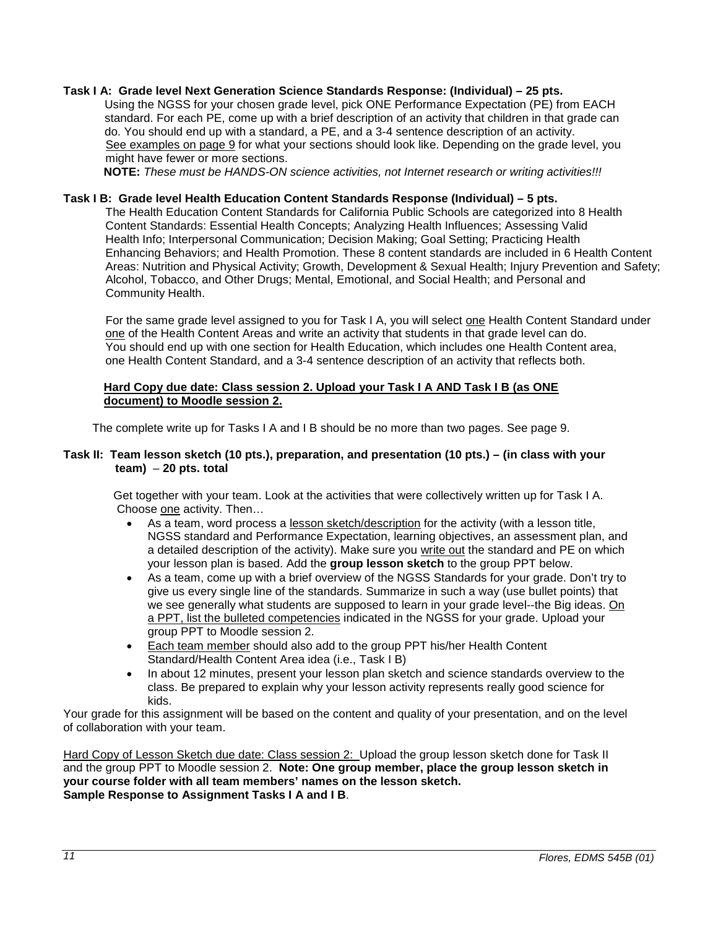#### **Task I A: Grade level Next Generation Science Standards Response: (Individual) – 25 pts.**

 Using the NGSS for your chosen grade level, pick ONE Performance Expectation (PE) from EACH standard. For each PE, come up with a brief description of an activity that children in that grade can do. You should end up with a standard, a PE, and a 3-4 sentence description of an activity. See examples on page 9 for what your sections should look like. Depending on the grade level, you might have fewer or more sections.

**NOTE:** *These must be HANDS-ON science activities, not Internet research or writing activities!!!*

#### **Task I B: Grade level Health Education Content Standards Response (Individual) – 5 pts.**

The Health Education Content Standards for California Public Schools are categorized into 8 Health Content Standards: Essential Health Concepts; Analyzing Health Influences; Assessing Valid Health Info; Interpersonal Communication; Decision Making; Goal Setting; Practicing Health Enhancing Behaviors; and Health Promotion. These 8 content standards are included in 6 Health Content Areas: Nutrition and Physical Activity; Growth, Development & Sexual Health; Injury Prevention and Safety; Alcohol, Tobacco, and Other Drugs; Mental, Emotional, and Social Health; and Personal and Community Health.

For the same grade level assigned to you for Task I A, you will select one Health Content Standard under one of the Health Content Areas and write an activity that students in that grade level can do. You should end up with one section for Health Education, which includes one Health Content area, one Health Content Standard, and a 3-4 sentence description of an activity that reflects both.

#### **Hard Copy due date: Class session 2. Upload your Task I A AND Task I B (as ONE document) to Moodle session 2.**

The complete write up for Tasks I A and I B should be no more than two pages. See page 9.

#### **Task II: Team lesson sketch (10 pts.), preparation, and presentation (10 pts.) – (in class with your team)** – **20 pts. total**

 Get together with your team. Look at the activities that were collectively written up for Task I A. Choose one activity. Then…

- As a team, word process a lesson sketch/description for the activity (with a lesson title, NGSS standard and Performance Expectation, learning objectives, an assessment plan, and a detailed description of the activity). Make sure you write out the standard and PE on which your lesson plan is based. Add the **group lesson sketch** to the group PPT below.
- As a team, come up with a brief overview of the NGSS Standards for your grade. Don't try to give us every single line of the standards. Summarize in such a way (use bullet points) that we see generally what students are supposed to learn in your grade level--the Big ideas. On a PPT, list the bulleted competencies indicated in the NGSS for your grade. Upload your group PPT to Moodle session 2.
- Each team member should also add to the group PPT his/her Health Content Standard/Health Content Area idea (i.e., Task I B)
- In about 12 minutes, present your lesson plan sketch and science standards overview to the class. Be prepared to explain why your lesson activity represents really good science for kids.

Your grade for this assignment will be based on the content and quality of your presentation, and on the level of collaboration with your team.

Hard Copy of Lesson Sketch due date: Class session 2: Upload the group lesson sketch done for Task II and the group PPT to Moodle session 2. **Note: One group member, place the group lesson sketch in your course folder with all team members' names on the lesson sketch. Sample Response to Assignment Tasks I A and I B**.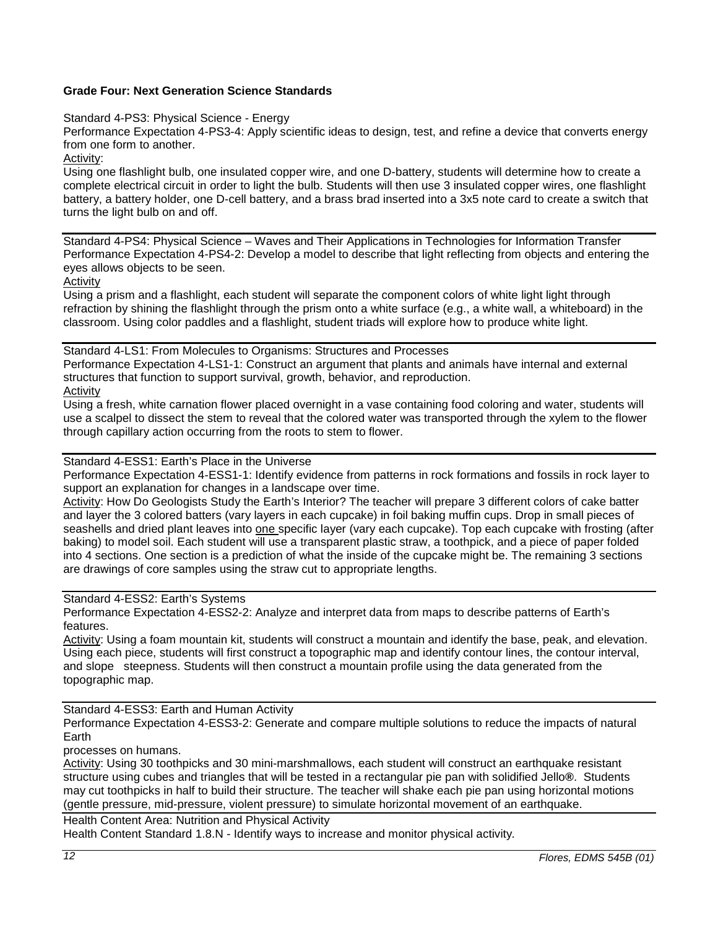# **Grade Four: Next Generation Science Standards**

Standard 4-PS3: Physical Science - Energy

Performance Expectation 4-PS3-4: Apply scientific ideas to design, test, and refine a device that converts energy from one form to another.

Activity:

Using one flashlight bulb, one insulated copper wire, and one D-battery, students will determine how to create a complete electrical circuit in order to light the bulb. Students will then use 3 insulated copper wires, one flashlight battery, a battery holder, one D-cell battery, and a brass brad inserted into a 3x5 note card to create a switch that turns the light bulb on and off.

Standard 4-PS4: Physical Science – Waves and Their Applications in Technologies for Information Transfer Performance Expectation 4-PS4-2: Develop a model to describe that light reflecting from objects and entering the eyes allows objects to be seen.

Activity

Using a prism and a flashlight, each student will separate the component colors of white light light through refraction by shining the flashlight through the prism onto a white surface (e.g., a white wall, a whiteboard) in the classroom. Using color paddles and a flashlight, student triads will explore how to produce white light.

Standard 4-LS1: From Molecules to Organisms: Structures and Processes Performance Expectation 4-LS1-1: Construct an argument that plants and animals have internal and external structures that function to support survival, growth, behavior, and reproduction. Activity

Using a fresh, white carnation flower placed overnight in a vase containing food coloring and water, students will use a scalpel to dissect the stem to reveal that the colored water was transported through the xylem to the flower through capillary action occurring from the roots to stem to flower.

#### Standard 4-ESS1: Earth's Place in the Universe

Performance Expectation 4-ESS1-1: Identify evidence from patterns in rock formations and fossils in rock layer to support an explanation for changes in a landscape over time.

Activity: How Do Geologists Study the Earth's Interior? The teacher will prepare 3 different colors of cake batter and layer the 3 colored batters (vary layers in each cupcake) in foil baking muffin cups. Drop in small pieces of seashells and dried plant leaves into one specific layer (vary each cupcake). Top each cupcake with frosting (after baking) to model soil. Each student will use a transparent plastic straw, a toothpick, and a piece of paper folded into 4 sections. One section is a prediction of what the inside of the cupcake might be. The remaining 3 sections are drawings of core samples using the straw cut to appropriate lengths.

# Standard 4-ESS2: Earth's Systems

Performance Expectation 4-ESS2-2: Analyze and interpret data from maps to describe patterns of Earth's features.

Activity: Using a foam mountain kit, students will construct a mountain and identify the base, peak, and elevation. Using each piece, students will first construct a topographic map and identify contour lines, the contour interval, and slope steepness. Students will then construct a mountain profile using the data generated from the topographic map.

Standard 4-ESS3: Earth and Human Activity

Performance Expectation 4-ESS3-2: Generate and compare multiple solutions to reduce the impacts of natural Earth

processes on humans.

Activity: Using 30 toothpicks and 30 mini-marshmallows, each student will construct an earthquake resistant structure using cubes and triangles that will be tested in a rectangular pie pan with solidified Jello**®**. Students may cut toothpicks in half to build their structure. The teacher will shake each pie pan using horizontal motions (gentle pressure, mid-pressure, violent pressure) to simulate horizontal movement of an earthquake.

Health Content Area: Nutrition and Physical Activity

Health Content Standard 1.8.N - Identify ways to increase and monitor physical activity*.*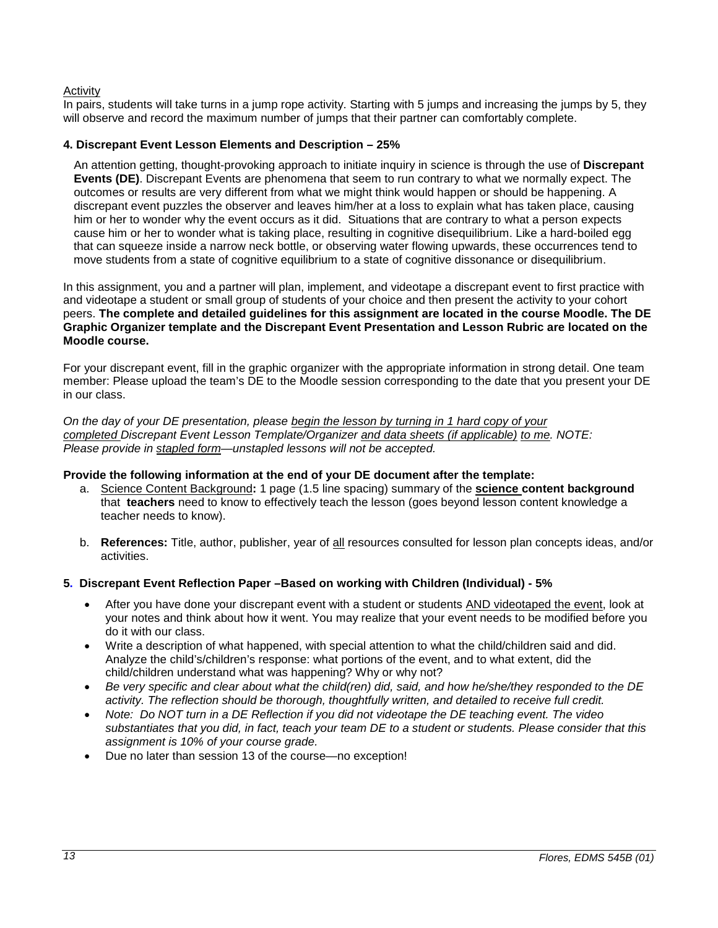# Activity

In pairs, students will take turns in a jump rope activity. Starting with 5 jumps and increasing the jumps by 5, they will observe and record the maximum number of jumps that their partner can comfortably complete.

#### <span id="page-12-0"></span>**4. Discrepant Event Lesson Elements and Description – 25%**

An attention getting, thought-provoking approach to initiate inquiry in science is through the use of **Discrepant Events (DE)**. Discrepant Events are phenomena that seem to run contrary to what we normally expect. The outcomes or results are very different from what we might think would happen or should be happening. A discrepant event puzzles the observer and leaves him/her at a loss to explain what has taken place, causing him or her to wonder why the event occurs as it did. Situations that are contrary to what a person expects cause him or her to wonder what is taking place, resulting in cognitive disequilibrium. Like a hard-boiled egg that can squeeze inside a narrow neck bottle, or observing water flowing upwards, these occurrences tend to move students from a state of cognitive equilibrium to a state of cognitive dissonance or disequilibrium.

In this assignment, you and a partner will plan, implement, and videotape a discrepant event to first practice with and videotape a student or small group of students of your choice and then present the activity to your cohort peers. **The complete and detailed guidelines for this assignment are located in the course Moodle. The DE Graphic Organizer template and the Discrepant Event Presentation and Lesson Rubric are located on the Moodle course.**

For your discrepant event, fill in the graphic organizer with the appropriate information in strong detail. One team member: Please upload the team's DE to the Moodle session corresponding to the date that you present your DE in our class.

*On the day of your DE presentation, please begin the lesson by turning in 1 hard copy of your completed Discrepant Event Lesson Template/Organizer and data sheets (if applicable) to me. NOTE: Please provide in stapled form—unstapled lessons will not be accepted.* 

#### **Provide the following information at the end of your DE document after the template:**

- a. Science Content Background**:** 1 page (1.5 line spacing) summary of the **science content background** that **teachers** need to know to effectively teach the lesson (goes beyond lesson content knowledge a teacher needs to know).
- b. **References:** Title, author, publisher, year of all resources consulted for lesson plan concepts ideas, and/or activities.

#### <span id="page-12-1"></span>**5. Discrepant Event Reflection Paper –Based on working with Children (Individual) - 5%**

- After you have done your discrepant event with a student or students AND videotaped the event, look at your notes and think about how it went. You may realize that your event needs to be modified before you do it with our class.
- Write a description of what happened, with special attention to what the child/children said and did. Analyze the child's/children's response: what portions of the event, and to what extent, did the child/children understand what was happening? Why or why not?
- *Be very specific and clear about what the child(ren) did, said, and how he/she/they responded to the DE activity. The reflection should be thorough, thoughtfully written, and detailed to receive full credit.*
- *Note: Do NOT turn in a DE Reflection if you did not videotape the DE teaching event. The video substantiates that you did, in fact, teach your team DE to a student or students. Please consider that this assignment is 10% of your course grade.*
- Due no later than session 13 of the course—no exception!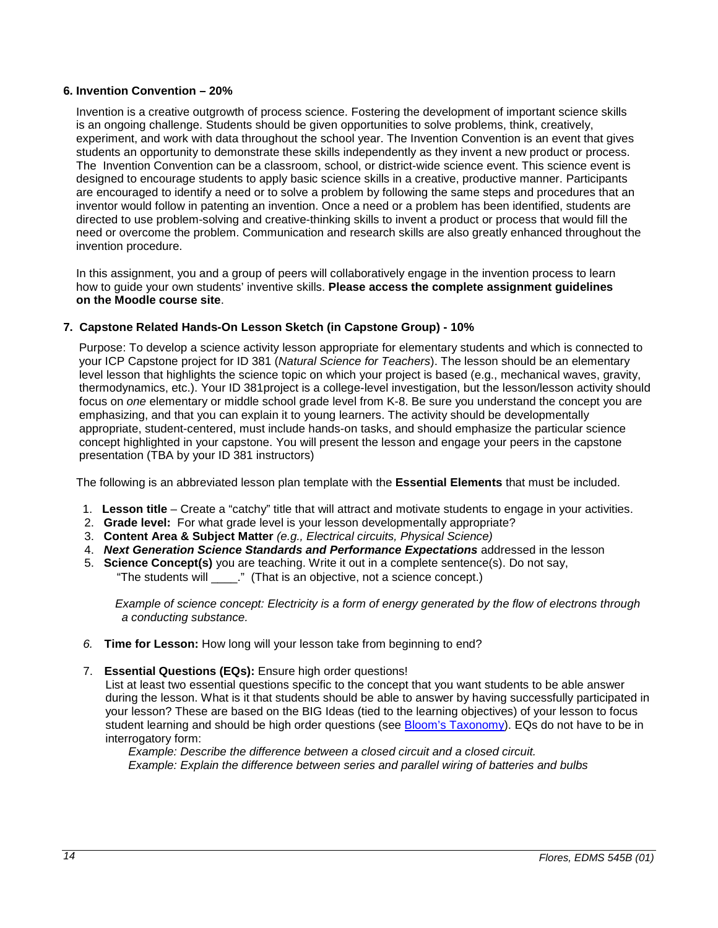#### <span id="page-13-0"></span>**6. Invention Convention – 20%**

Invention is a creative outgrowth of process science. Fostering the development of important science skills is an ongoing challenge. Students should be given opportunities to solve problems, think, creatively, experiment, and work with data throughout the school year. The Invention Convention is an event that gives students an opportunity to demonstrate these skills independently as they invent a new product or process. The Invention Convention can be a classroom, school, or district-wide science event. This science event is designed to encourage students to apply basic science skills in a creative, productive manner. Participants are encouraged to identify a need or to solve a problem by following the same steps and procedures that an inventor would follow in patenting an invention. Once a need or a problem has been identified, students are directed to use problem-solving and creative-thinking skills to invent a product or process that would fill the need or overcome the problem. Communication and research skills are also greatly enhanced throughout the invention procedure.

 In this assignment, you and a group of peers will collaboratively engage in the invention process to learn how to guide your own students' inventive skills. **Please access the complete assignment guidelines on the Moodle course site**.

# <span id="page-13-1"></span>**7. Capstone Related Hands-On Lesson Sketch (in Capstone Group) - 10%**

Purpose: To develop a science activity lesson appropriate for elementary students and which is connected to your ICP Capstone project for ID 381 (*Natural Science for Teachers*). The lesson should be an elementary level lesson that highlights the science topic on which your project is based (e.g., mechanical waves, gravity, thermodynamics, etc.). Your ID 381project is a college-level investigation, but the lesson/lesson activity should focus on *one* elementary or middle school grade level from K-8. Be sure you understand the concept you are emphasizing, and that you can explain it to young learners. The activity should be developmentally appropriate, student-centered, must include hands-on tasks, and should emphasize the particular science concept highlighted in your capstone. You will present the lesson and engage your peers in the capstone presentation (TBA by your ID 381 instructors)

The following is an abbreviated lesson plan template with the **Essential Elements** that must be included.

- 1. **Lesson title** Create a "catchy" title that will attract and motivate students to engage in your activities.
- 2. **Grade level:** For what grade level is your lesson developmentally appropriate?
- 3. **Content Area & Subject Matter** *(e.g., Electrical circuits, Physical Science)*
- 4.*Next Generation Science Standards and Performance Expectations* addressed in the lesson
- 5. **Science Concept(s)** you are teaching. Write it out in a complete sentence(s). Do not say, "The students will \_\_\_\_." (That is an objective, not a science concept.)

 *Example of science concept: Electricity is a form of energy generated by the flow of electrons through a conducting substance.* 

- *6.* **Time for Lesson:** How long will your lesson take from beginning to end?
- 7. **Essential Questions (EQs):** Ensure high order questions!

List at least two essential questions specific to the concept that you want students to be able answer during the lesson. What is it that students should be able to answer by having successfully participated in your lesson? These are based on the BIG Ideas (tied to the learning objectives) of your lesson to focus student learning and should be high order questions (see [Bloom's Taxonomy\)](http://www.odu.edu/educ/roverbau/Bloom/blooms_taxonomy.htm). EQs do not have to be in interrogatory form:

 *Example: Describe the difference between a closed circuit and a closed circuit. Example: Explain the difference between series and parallel wiring of batteries and bulbs*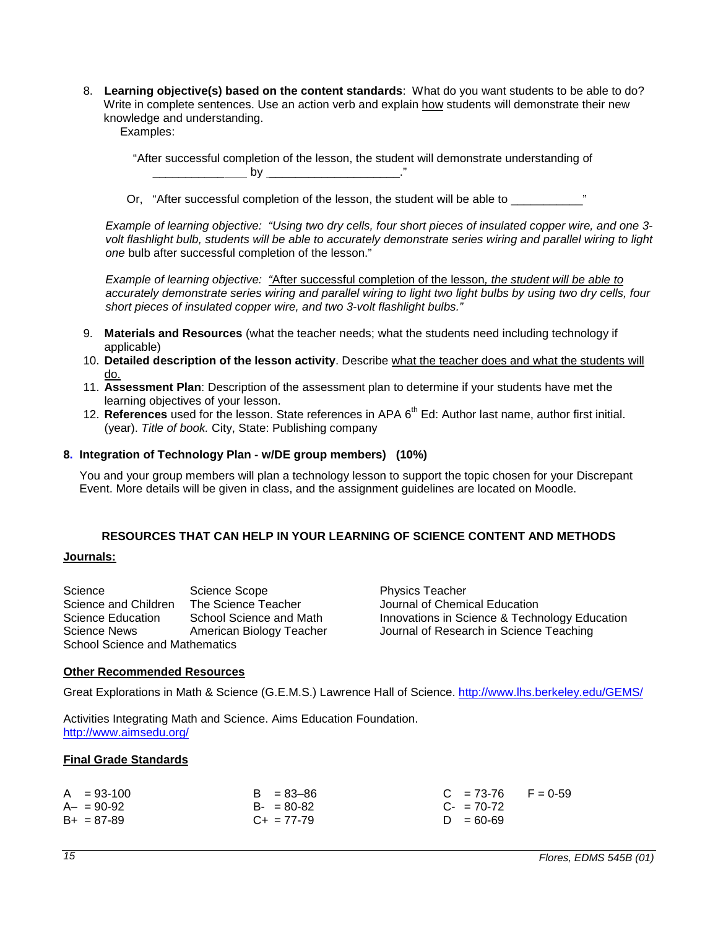- 8. **Learning objective(s) based on the content standards**: What do you want students to be able to do? Write in complete sentences. Use an action verb and explain how students will demonstrate their new knowledge and understanding.
	- Examples:

 "After successful completion of the lesson, the student will demonstrate understanding of \_\_\_\_\_\_\_\_\_\_\_ by \_\_\_\_\_\_\_\_\_\_\_\_\_\_\_\_\_\_\_\_."

Or, "After successful completion of the lesson, the student will be able to

*Example of learning objective: "Using two dry cells, four short pieces of insulated copper wire, and one 3 volt flashlight bulb, students will be able to accurately demonstrate series wiring and parallel wiring to light one* bulb after successful completion of the lesson."

*Example of learning objective: "*After successful completion of the lesson*, the student will be able to accurately demonstrate series wiring and parallel wiring to light two light bulbs by using two dry cells, four short pieces of insulated copper wire, and two 3-volt flashlight bulbs."*

- 9. **Materials and Resources** (what the teacher needs; what the students need including technology if applicable)
- 10. **Detailed description of the lesson activity**. Describe what the teacher does and what the students will do.
- 11. **Assessment Plan**: Description of the assessment plan to determine if your students have met the learning objectives of your lesson.
- 12. **References** used for the lesson. State references in APA 6<sup>th</sup> Ed: Author last name, author first initial. (year). *Title of book.* City, State: Publishing company

#### <span id="page-14-0"></span>**8. Integration of Technology Plan - w/DE group members) (10%)**

 You and your group members will plan a technology lesson to support the topic chosen for your Discrepant Event. More details will be given in class, and the assignment guidelines are located on Moodle.

### **RESOURCES THAT CAN HELP IN YOUR LEARNING OF SCIENCE CONTENT AND METHODS**

#### <span id="page-14-2"></span><span id="page-14-1"></span>**Journals:**

Science Scope Physics Teacher<br>
Science and Children The Science Teacher<br>
Science Education School Science and Math<br>
Physics Teacher Journal of Chemical Education<br>
Iournal of Research in Science<br>
Journal of Research in Scie Science and Children The Science Teacher<br>Science Education School Science and Math Science and Math<br>American Biology Teacher<br>Journalise School Science and Mathematics

Innovations in Science & Technology Education<br>Journal of Research in Science Teaching

#### <span id="page-14-3"></span>**Other Recommended Resources**

Great Explorations in Math & Science (G.E.M.S.) Lawrence Hall of Science.<http://www.lhs.berkeley.edu/GEMS/>

Activities Integrating Math and Science. Aims Education Foundation. <http://www.aimsedu.org/>

#### <span id="page-14-4"></span>**Final Grade Standards**

| $A = 93-100$    | $B = 83 - 86$   | $C = 73-76$ F = 0-59 |
|-----------------|-----------------|----------------------|
| $A - = 90 - 92$ | $B - 80 - 82$   | $C_{\tau}$ = 70-72   |
| $B+ = 87-89$    | $C_{+}$ = 77-79 | $D = 60 - 69$        |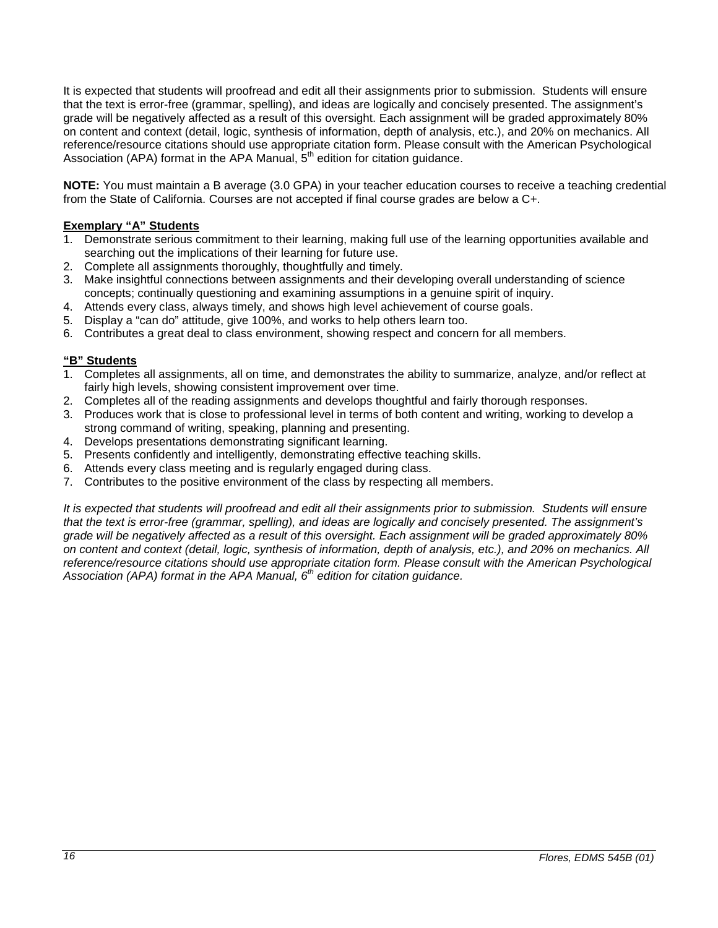It is expected that students will proofread and edit all their assignments prior to submission. Students will ensure that the text is error-free (grammar, spelling), and ideas are logically and concisely presented. The assignment's grade will be negatively affected as a result of this oversight. Each assignment will be graded approximately 80% on content and context (detail, logic, synthesis of information, depth of analysis, etc.), and 20% on mechanics. All reference/resource citations should use appropriate citation form. Please consult with the American Psychological Association (APA) format in the APA Manual,  $5<sup>th</sup>$  edition for citation guidance.

**NOTE:** You must maintain a B average (3.0 GPA) in your teacher education courses to receive a teaching credential from the State of California. Courses are not accepted if final course grades are below a C+.

# **Exemplary "A" Students**

- 1. Demonstrate serious commitment to their learning, making full use of the learning opportunities available and searching out the implications of their learning for future use.
- 2. Complete all assignments thoroughly, thoughtfully and timely.
- 3. Make insightful connections between assignments and their developing overall understanding of science concepts; continually questioning and examining assumptions in a genuine spirit of inquiry.
- 4. Attends every class, always timely, and shows high level achievement of course goals.
- 5. Display a "can do" attitude, give 100%, and works to help others learn too.
- 6. Contributes a great deal to class environment, showing respect and concern for all members.

# **"B" Students**

- 1. Completes all assignments, all on time, and demonstrates the ability to summarize, analyze, and/or reflect at fairly high levels, showing consistent improvement over time.
- 2. Completes all of the reading assignments and develops thoughtful and fairly thorough responses.
- 3. Produces work that is close to professional level in terms of both content and writing, working to develop a strong command of writing, speaking, planning and presenting.
- 4. Develops presentations demonstrating significant learning.
- 5. Presents confidently and intelligently, demonstrating effective teaching skills.
- 6. Attends every class meeting and is regularly engaged during class.
- 7. Contributes to the positive environment of the class by respecting all members.

*It is expected that students will proofread and edit all their assignments prior to submission. Students will ensure that the text is error-free (grammar, spelling), and ideas are logically and concisely presented. The assignment's grade will be negatively affected as a result of this oversight. Each assignment will be graded approximately 80% on content and context (detail, logic, synthesis of information, depth of analysis, etc.), and 20% on mechanics. All reference/resource citations should use appropriate citation form. Please consult with the American Psychological Association (APA) format in the APA Manual, 6th edition for citation guidance.*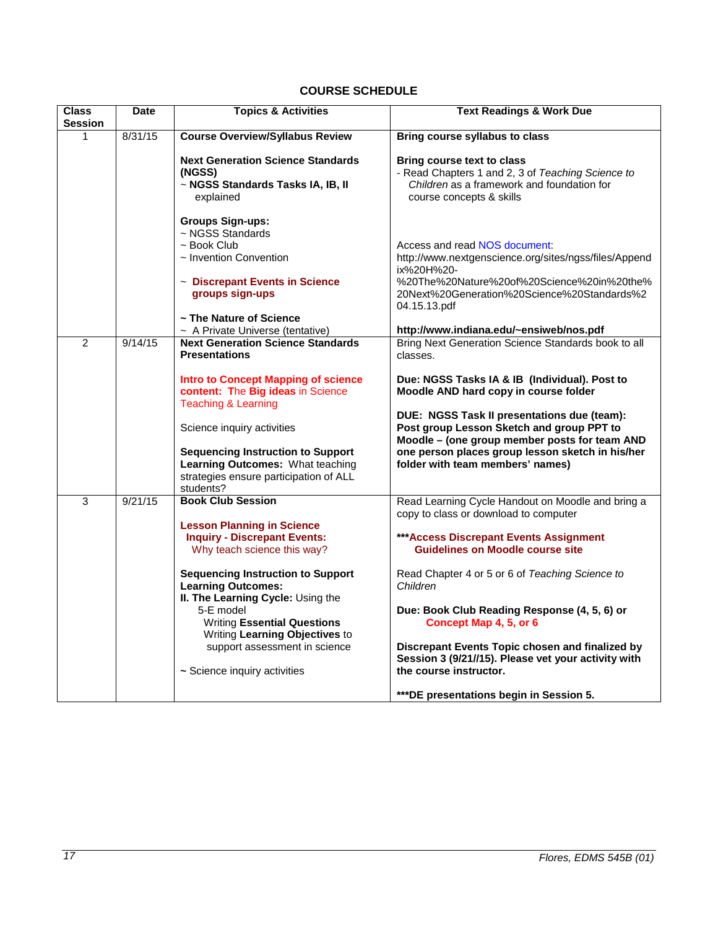# **COURSE SCHEDULE**

<span id="page-16-0"></span>

| <b>Class</b><br><b>Session</b> | <b>Date</b> | <b>Topics &amp; Activities</b>                                                                                                                       | <b>Text Readings &amp; Work Due</b>                                                                                                                                                                                               |
|--------------------------------|-------------|------------------------------------------------------------------------------------------------------------------------------------------------------|-----------------------------------------------------------------------------------------------------------------------------------------------------------------------------------------------------------------------------------|
| 1                              | 8/31/15     | <b>Course Overview/Syllabus Review</b>                                                                                                               | Bring course syllabus to class                                                                                                                                                                                                    |
|                                |             | <b>Next Generation Science Standards</b><br>(NGSS)<br>~ NGSS Standards Tasks IA, IB, II<br>explained                                                 | <b>Bring course text to class</b><br>- Read Chapters 1 and 2, 3 of Teaching Science to<br>Children as a framework and foundation for<br>course concepts & skills                                                                  |
|                                |             | <b>Groups Sign-ups:</b><br>~ NGSS Standards<br>~ Book Club<br>$\sim$ Invention Convention                                                            | Access and read NOS document:<br>http://www.nextgenscience.org/sites/ngss/files/Append<br>ix%20H%20-                                                                                                                              |
|                                |             | ~ Discrepant Events in Science<br>groups sign-ups<br>~ The Nature of Science                                                                         | %20The%20Nature%20of%20Science%20in%20the%<br>20Next%20Generation%20Science%20Standards%2<br>04.15.13.pdf                                                                                                                         |
|                                |             | ~ A Private Universe (tentative)                                                                                                                     | http://www.indiana.edu/~ensiweb/nos.pdf                                                                                                                                                                                           |
| $\overline{2}$                 | 9/14/15     | <b>Next Generation Science Standards</b><br><b>Presentations</b>                                                                                     | Bring Next Generation Science Standards book to all<br>classes.                                                                                                                                                                   |
|                                |             | <b>Intro to Concept Mapping of science</b><br>content: The Big ideas in Science<br><b>Teaching &amp; Learning</b>                                    | Due: NGSS Tasks IA & IB (Individual). Post to<br>Moodle AND hard copy in course folder                                                                                                                                            |
|                                |             | Science inquiry activities<br><b>Sequencing Instruction to Support</b><br>Learning Outcomes: What teaching<br>strategies ensure participation of ALL | DUE: NGSS Task II presentations due (team):<br>Post group Lesson Sketch and group PPT to<br>Moodle - (one group member posts for team AND<br>one person places group lesson sketch in his/her<br>folder with team members' names) |
| 3                              | 9/21/15     | students?<br><b>Book Club Session</b>                                                                                                                | Read Learning Cycle Handout on Moodle and bring a                                                                                                                                                                                 |
|                                |             |                                                                                                                                                      | copy to class or download to computer                                                                                                                                                                                             |
|                                |             | <b>Lesson Planning in Science</b><br><b>Inquiry - Discrepant Events:</b><br>Why teach science this way?                                              | *** Access Discrepant Events Assignment<br><b>Guidelines on Moodle course site</b>                                                                                                                                                |
|                                |             | <b>Sequencing Instruction to Support</b><br><b>Learning Outcomes:</b><br>II. The Learning Cycle: Using the                                           | Read Chapter 4 or 5 or 6 of Teaching Science to<br>Children                                                                                                                                                                       |
|                                |             | 5-E model<br><b>Writing Essential Questions</b><br>Writing Learning Objectives to                                                                    | Due: Book Club Reading Response (4, 5, 6) or<br>Concept Map 4, 5, or 6                                                                                                                                                            |
|                                |             | support assessment in science                                                                                                                        | Discrepant Events Topic chosen and finalized by<br>Session 3 (9/21//15). Please vet your activity with                                                                                                                            |
|                                |             | ~ Science inquiry activities                                                                                                                         | the course instructor.                                                                                                                                                                                                            |
|                                |             |                                                                                                                                                      | ***DE presentations begin in Session 5.                                                                                                                                                                                           |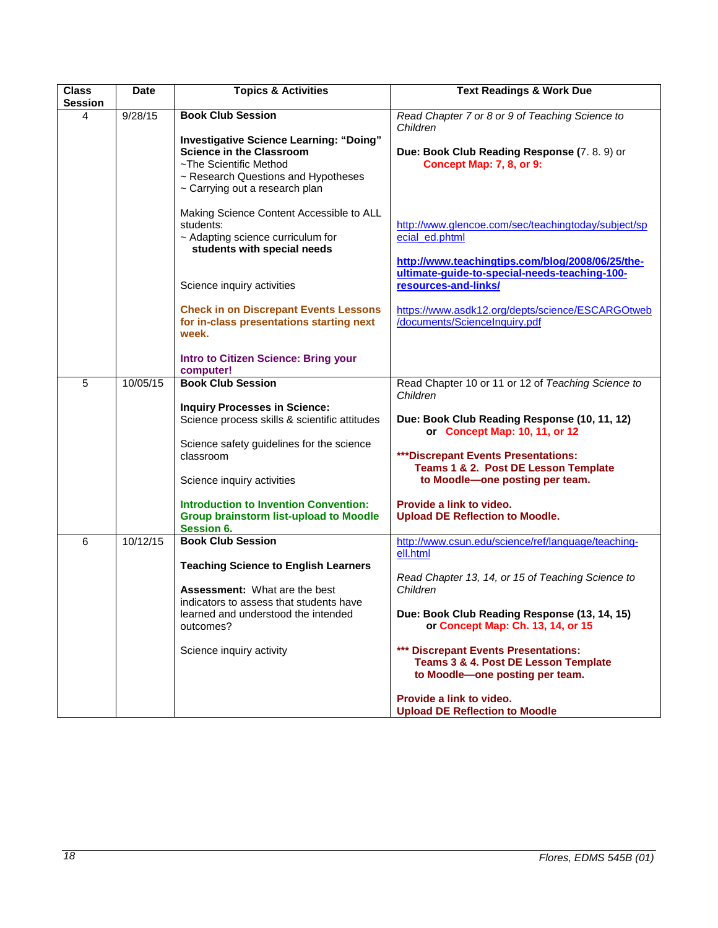| <b>Class</b> | <b>Date</b> | <b>Topics &amp; Activities</b>                                                                                                                                                       | <b>Text Readings &amp; Work Due</b>                                                                                       |
|--------------|-------------|--------------------------------------------------------------------------------------------------------------------------------------------------------------------------------------|---------------------------------------------------------------------------------------------------------------------------|
| Session      |             |                                                                                                                                                                                      |                                                                                                                           |
| 4            | 9/28/15     | <b>Book Club Session</b>                                                                                                                                                             | Read Chapter 7 or 8 or 9 of Teaching Science to<br>Children                                                               |
|              |             | <b>Investigative Science Learning: "Doing"</b><br><b>Science in the Classroom</b><br>~The Scientific Method<br>~ Research Questions and Hypotheses<br>~ Carrying out a research plan | Due: Book Club Reading Response (7.8.9) or<br>Concept Map: 7, 8, or 9:                                                    |
|              |             | Making Science Content Accessible to ALL<br>students:<br>~ Adapting science curriculum for<br>students with special needs                                                            | http://www.glencoe.com/sec/teachingtoday/subject/sp<br>ecial_ed.phtml<br>http://www.teachingtips.com/blog/2008/06/25/the- |
|              |             | Science inquiry activities                                                                                                                                                           | ultimate-guide-to-special-needs-teaching-100-<br>resources-and-links/                                                     |
|              |             | <b>Check in on Discrepant Events Lessons</b><br>for in-class presentations starting next<br>week.                                                                                    | https://www.asdk12.org/depts/science/ESCARGOtweb<br>/documents/ScienceInquiry.pdf                                         |
|              |             | Intro to Citizen Science: Bring your<br>computer!                                                                                                                                    |                                                                                                                           |
| 5            | 10/05/15    | <b>Book Club Session</b>                                                                                                                                                             | Read Chapter 10 or 11 or 12 of Teaching Science to                                                                        |
|              |             |                                                                                                                                                                                      | Children                                                                                                                  |
|              |             | <b>Inquiry Processes in Science:</b><br>Science process skills & scientific attitudes                                                                                                | Due: Book Club Reading Response (10, 11, 12)<br>or Concept Map: 10, 11, or 12                                             |
|              |             | Science safety guidelines for the science                                                                                                                                            |                                                                                                                           |
|              |             | classroom                                                                                                                                                                            | ***Discrepant Events Presentations:                                                                                       |
|              |             | Science inquiry activities                                                                                                                                                           | Teams 1 & 2. Post DE Lesson Template<br>to Moodle-one posting per team.                                                   |
|              |             | <b>Introduction to Invention Convention:</b><br><b>Group brainstorm list-upload to Moodle</b><br>Session 6.                                                                          | Provide a link to video.<br><b>Upload DE Reflection to Moodle.</b>                                                        |
| 6            | 10/12/15    | <b>Book Club Session</b>                                                                                                                                                             | http://www.csun.edu/science/ref/language/teaching-                                                                        |
|              |             | <b>Teaching Science to English Learners</b>                                                                                                                                          | ell.html<br>Read Chapter 13, 14, or 15 of Teaching Science to                                                             |
|              |             | <b>Assessment:</b> What are the best<br>indicators to assess that students have<br>learned and understood the intended<br>outcomes?                                                  | Children<br>Due: Book Club Reading Response (13, 14, 15)<br>or Concept Map: Ch. 13, 14, or 15                             |
|              |             | Science inquiry activity                                                                                                                                                             | *** Discrepant Events Presentations:<br>Teams 3 & 4. Post DE Lesson Template<br>to Moodle-one posting per team.           |
|              |             |                                                                                                                                                                                      | Provide a link to video.<br><b>Upload DE Reflection to Moodle</b>                                                         |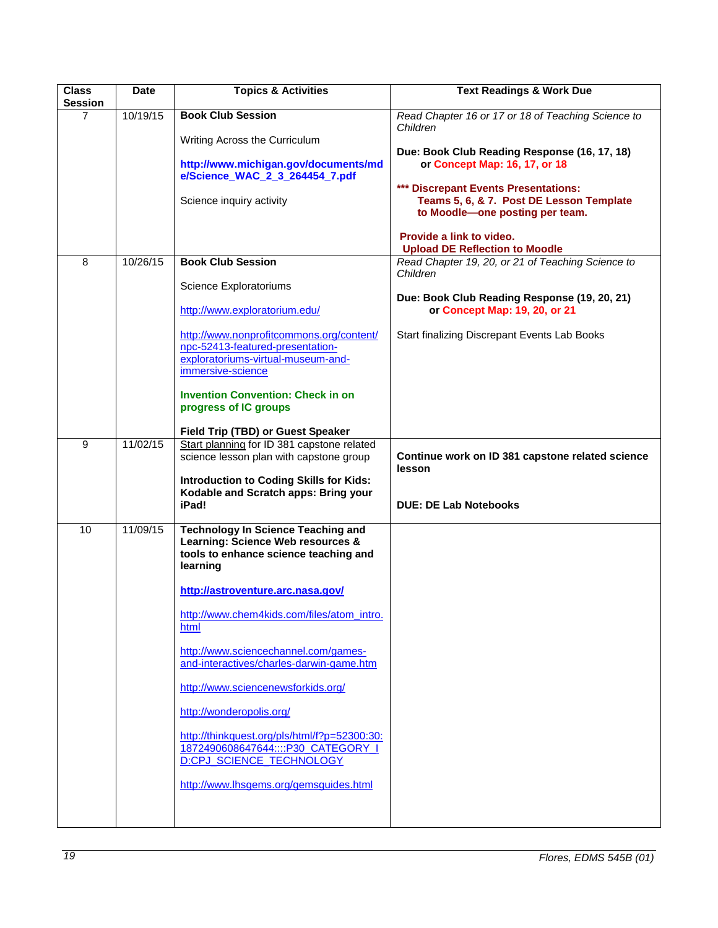| <b>Class</b><br>Session | <b>Date</b> | <b>Topics &amp; Activities</b>                                                                                                                                                      | <b>Text Readings &amp; Work Due</b>                                                                                                                                                                                                                                       |
|-------------------------|-------------|-------------------------------------------------------------------------------------------------------------------------------------------------------------------------------------|---------------------------------------------------------------------------------------------------------------------------------------------------------------------------------------------------------------------------------------------------------------------------|
| $\overline{7}$          | 10/19/15    | <b>Book Club Session</b>                                                                                                                                                            | Read Chapter 16 or 17 or 18 of Teaching Science to<br>Children                                                                                                                                                                                                            |
|                         |             | Writing Across the Curriculum<br>http://www.michigan.gov/documents/md<br>e/Science_WAC_2_3_264454_7.pdf<br>Science inquiry activity                                                 | Due: Book Club Reading Response (16, 17, 18)<br>or Concept Map: 16, 17, or 18<br>*** Discrepant Events Presentations:<br>Teams 5, 6, & 7. Post DE Lesson Template<br>to Moodle-one posting per team.<br>Provide a link to video.<br><b>Upload DE Reflection to Moodle</b> |
| 8                       | 10/26/15    | <b>Book Club Session</b>                                                                                                                                                            | Read Chapter 19, 20, or 21 of Teaching Science to                                                                                                                                                                                                                         |
|                         |             | Science Exploratoriums<br>http://www.exploratorium.edu/                                                                                                                             | Children<br>Due: Book Club Reading Response (19, 20, 21)<br>or Concept Map: 19, 20, or 21                                                                                                                                                                                 |
|                         |             | http://www.nonprofitcommons.org/content/<br>npc-52413-featured-presentation-<br>exploratoriums-virtual-museum-and-<br>immersive-science<br><b>Invention Convention: Check in on</b> | Start finalizing Discrepant Events Lab Books                                                                                                                                                                                                                              |
|                         |             | progress of IC groups<br>Field Trip (TBD) or Guest Speaker                                                                                                                          |                                                                                                                                                                                                                                                                           |
| 9                       | 11/02/15    | Start planning for ID 381 capstone related<br>science lesson plan with capstone group<br><b>Introduction to Coding Skills for Kids:</b>                                             | Continue work on ID 381 capstone related science<br>lesson                                                                                                                                                                                                                |
|                         |             | Kodable and Scratch apps: Bring your<br>iPad!                                                                                                                                       | <b>DUE: DE Lab Notebooks</b>                                                                                                                                                                                                                                              |
| 10                      | 11/09/15    | <b>Technology In Science Teaching and</b><br>Learning: Science Web resources &<br>tools to enhance science teaching and<br>learning                                                 |                                                                                                                                                                                                                                                                           |
|                         |             | http://astroventure.arc.nasa.gov/                                                                                                                                                   |                                                                                                                                                                                                                                                                           |
|                         |             | http://www.chem4kids.com/files/atom_intro.<br>html                                                                                                                                  |                                                                                                                                                                                                                                                                           |
|                         |             | http://www.sciencechannel.com/games-<br>and-interactives/charles-darwin-game.htm                                                                                                    |                                                                                                                                                                                                                                                                           |
|                         |             | http://www.sciencenewsforkids.org/                                                                                                                                                  |                                                                                                                                                                                                                                                                           |
|                         |             | http://wonderopolis.org/                                                                                                                                                            |                                                                                                                                                                                                                                                                           |
|                         |             | http://thinkquest.org/pls/html/f?p=52300:30:<br>1872490608647644P30 CATEGORY I<br><b>D:CPJ SCIENCE TECHNOLOGY</b>                                                                   |                                                                                                                                                                                                                                                                           |
|                         |             | http://www.lhsgems.org/gemsguides.html                                                                                                                                              |                                                                                                                                                                                                                                                                           |
|                         |             |                                                                                                                                                                                     |                                                                                                                                                                                                                                                                           |